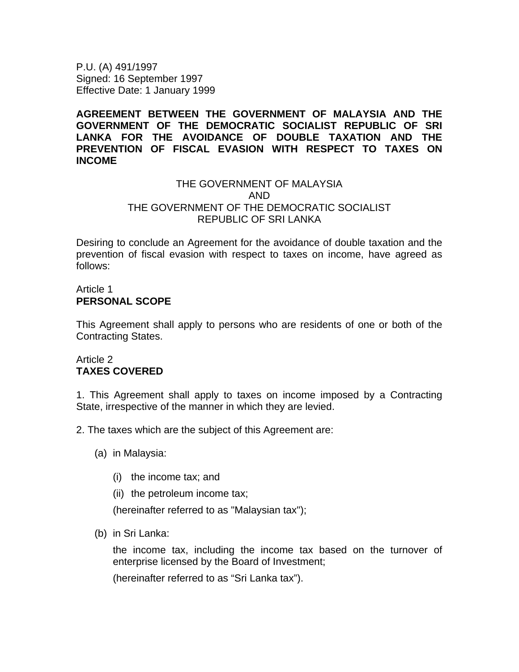P.U. (A) 491/1997 Signed: 16 September 1997 Effective Date: 1 January 1999

**AGREEMENT BETWEEN THE GOVERNMENT OF MALAYSIA AND THE GOVERNMENT OF THE DEMOCRATIC SOCIALIST REPUBLIC OF SRI LANKA FOR THE AVOIDANCE OF DOUBLE TAXATION AND THE PREVENTION OF FISCAL EVASION WITH RESPECT TO TAXES ON INCOME** 

#### THE GOVERNMENT OF MALAYSIA AND THE GOVERNMENT OF THE DEMOCRATIC SOCIALIST REPUBLIC OF SRI LANKA

Desiring to conclude an Agreement for the avoidance of double taxation and the prevention of fiscal evasion with respect to taxes on income, have agreed as follows:

## Article 1 **PERSONAL SCOPE**

This Agreement shall apply to persons who are residents of one or both of the Contracting States.

### Article 2 **TAXES COVERED**

1. This Agreement shall apply to taxes on income imposed by a Contracting State, irrespective of the manner in which they are levied.

2. The taxes which are the subject of this Agreement are:

(a) in Malaysia:

- (i) the income tax; and
- (ii) the petroleum income tax;

(hereinafter referred to as "Malaysian tax");

(b) in Sri Lanka:

the income tax, including the income tax based on the turnover of enterprise licensed by the Board of Investment;

(hereinafter referred to as "Sri Lanka tax").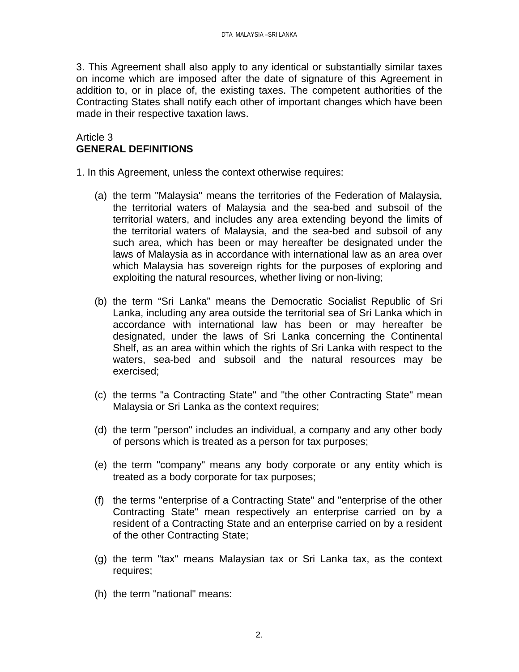3. This Agreement shall also apply to any identical or substantially similar taxes on income which are imposed after the date of signature of this Agreement in addition to, or in place of, the existing taxes. The competent authorities of the Contracting States shall notify each other of important changes which have been made in their respective taxation laws.

#### Article 3 **GENERAL DEFINITIONS**

1. In this Agreement, unless the context otherwise requires:

- (a) the term "Malaysia" means the territories of the Federation of Malaysia, the territorial waters of Malaysia and the sea-bed and subsoil of the territorial waters, and includes any area extending beyond the limits of the territorial waters of Malaysia, and the sea-bed and subsoil of any such area, which has been or may hereafter be designated under the laws of Malaysia as in accordance with international law as an area over which Malaysia has sovereign rights for the purposes of exploring and exploiting the natural resources, whether living or non-living;
- (b) the term "Sri Lanka" means the Democratic Socialist Republic of Sri Lanka, including any area outside the territorial sea of Sri Lanka which in accordance with international law has been or may hereafter be designated, under the laws of Sri Lanka concerning the Continental Shelf, as an area within which the rights of Sri Lanka with respect to the waters, sea-bed and subsoil and the natural resources may be exercised;
- (c) the terms "a Contracting State" and "the other Contracting State" mean Malaysia or Sri Lanka as the context requires;
- (d) the term "person" includes an individual, a company and any other body of persons which is treated as a person for tax purposes;
- (e) the term "company" means any body corporate or any entity which is treated as a body corporate for tax purposes;
- (f) the terms "enterprise of a Contracting State" and "enterprise of the other Contracting State" mean respectively an enterprise carried on by a resident of a Contracting State and an enterprise carried on by a resident of the other Contracting State;
- (g) the term "tax" means Malaysian tax or Sri Lanka tax, as the context requires;
- (h) the term "national" means: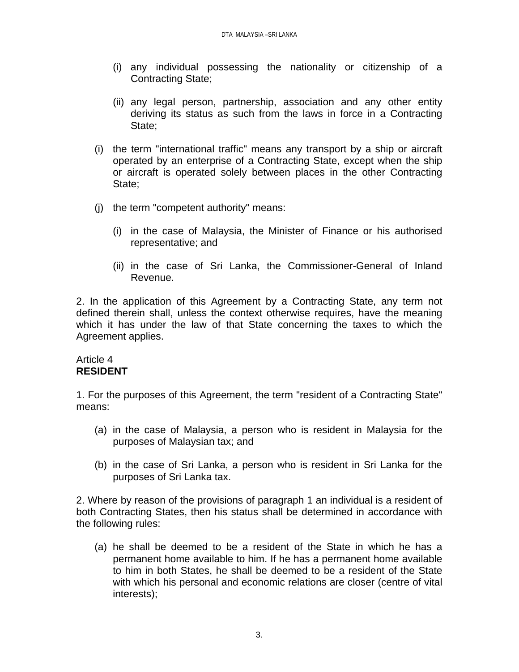- (i) any individual possessing the nationality or citizenship of a Contracting State;
- (ii) any legal person, partnership, association and any other entity deriving its status as such from the laws in force in a Contracting State;
- (i) the term "international traffic" means any transport by a ship or aircraft operated by an enterprise of a Contracting State, except when the ship or aircraft is operated solely between places in the other Contracting State;
- (j) the term "competent authority" means:
	- (i) in the case of Malaysia, the Minister of Finance or his authorised representative; and
	- (ii) in the case of Sri Lanka, the Commissioner-General of Inland Revenue.

2. In the application of this Agreement by a Contracting State, any term not defined therein shall, unless the context otherwise requires, have the meaning which it has under the law of that State concerning the taxes to which the Agreement applies.

#### Article 4 **RESIDENT**

1. For the purposes of this Agreement, the term "resident of a Contracting State" means:

- (a) in the case of Malaysia, a person who is resident in Malaysia for the purposes of Malaysian tax; and
- (b) in the case of Sri Lanka, a person who is resident in Sri Lanka for the purposes of Sri Lanka tax.

2. Where by reason of the provisions of paragraph 1 an individual is a resident of both Contracting States, then his status shall be determined in accordance with the following rules:

(a) he shall be deemed to be a resident of the State in which he has a permanent home available to him. If he has a permanent home available to him in both States, he shall be deemed to be a resident of the State with which his personal and economic relations are closer (centre of vital interests);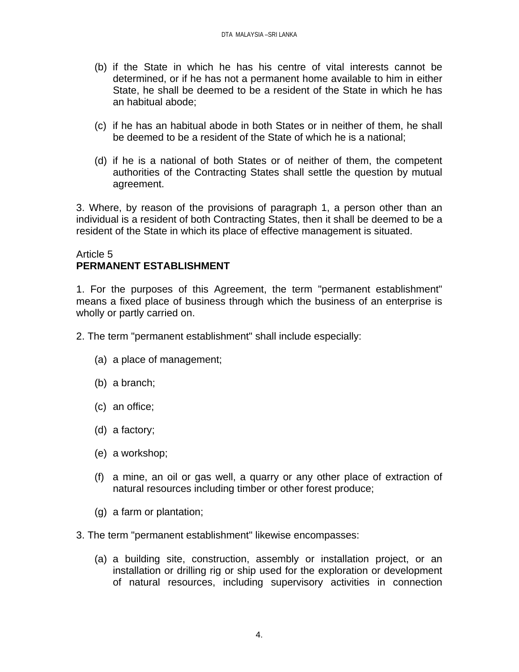- (b) if the State in which he has his centre of vital interests cannot be determined, or if he has not a permanent home available to him in either State, he shall be deemed to be a resident of the State in which he has an habitual abode;
- (c) if he has an habitual abode in both States or in neither of them, he shall be deemed to be a resident of the State of which he is a national;
- (d) if he is a national of both States or of neither of them, the competent authorities of the Contracting States shall settle the question by mutual agreement.

3. Where, by reason of the provisions of paragraph 1, a person other than an individual is a resident of both Contracting States, then it shall be deemed to be a resident of the State in which its place of effective management is situated.

#### Article 5 **PERMANENT ESTABLISHMENT**

1. For the purposes of this Agreement, the term "permanent establishment" means a fixed place of business through which the business of an enterprise is wholly or partly carried on.

- 2. The term "permanent establishment" shall include especially:
	- (a) a place of management;
	- (b) a branch;
	- (c) an office;
	- (d) a factory;
	- (e) a workshop;
	- (f) a mine, an oil or gas well, a quarry or any other place of extraction of natural resources including timber or other forest produce;
	- (g) a farm or plantation;

#### 3. The term "permanent establishment" likewise encompasses:

(a) a building site, construction, assembly or installation project, or an installation or drilling rig or ship used for the exploration or development of natural resources, including supervisory activities in connection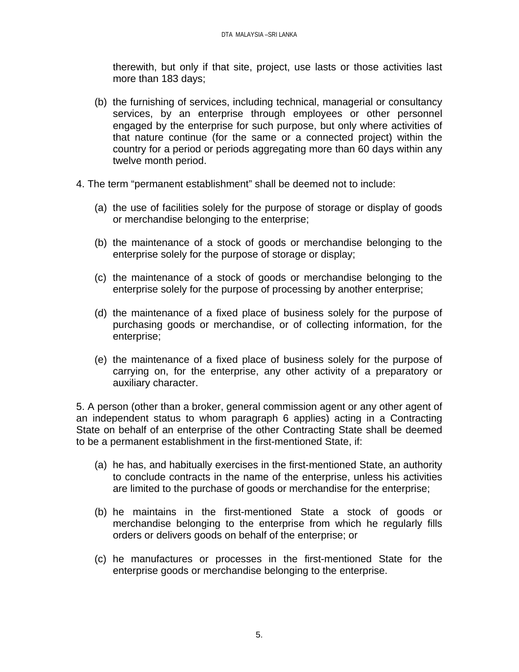therewith, but only if that site, project, use lasts or those activities last more than 183 days;

- (b) the furnishing of services, including technical, managerial or consultancy services, by an enterprise through employees or other personnel engaged by the enterprise for such purpose, but only where activities of that nature continue (for the same or a connected project) within the country for a period or periods aggregating more than 60 days within any twelve month period.
- 4. The term "permanent establishment" shall be deemed not to include:
	- (a) the use of facilities solely for the purpose of storage or display of goods or merchandise belonging to the enterprise;
	- (b) the maintenance of a stock of goods or merchandise belonging to the enterprise solely for the purpose of storage or display;
	- (c) the maintenance of a stock of goods or merchandise belonging to the enterprise solely for the purpose of processing by another enterprise;
	- (d) the maintenance of a fixed place of business solely for the purpose of purchasing goods or merchandise, or of collecting information, for the enterprise;
	- (e) the maintenance of a fixed place of business solely for the purpose of carrying on, for the enterprise, any other activity of a preparatory or auxiliary character.

5. A person (other than a broker, general commission agent or any other agent of an independent status to whom paragraph 6 applies) acting in a Contracting State on behalf of an enterprise of the other Contracting State shall be deemed to be a permanent establishment in the first-mentioned State, if:

- (a) he has, and habitually exercises in the first-mentioned State, an authority to conclude contracts in the name of the enterprise, unless his activities are limited to the purchase of goods or merchandise for the enterprise;
- (b) he maintains in the first-mentioned State a stock of goods or merchandise belonging to the enterprise from which he regularly fills orders or delivers goods on behalf of the enterprise; or
- (c) he manufactures or processes in the first-mentioned State for the enterprise goods or merchandise belonging to the enterprise.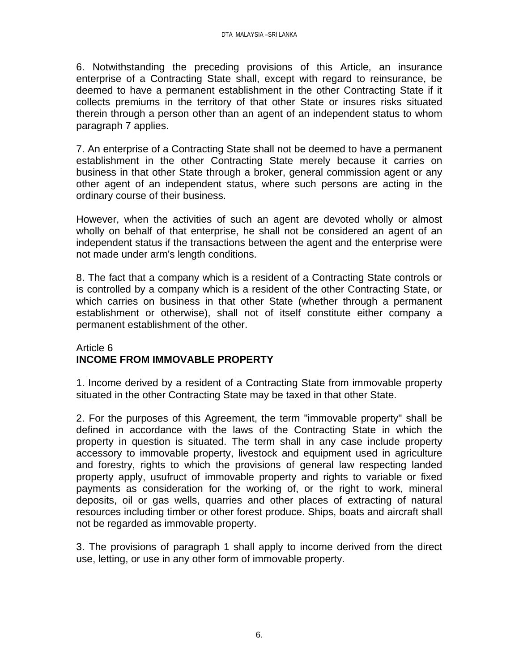6. Notwithstanding the preceding provisions of this Article, an insurance enterprise of a Contracting State shall, except with regard to reinsurance, be deemed to have a permanent establishment in the other Contracting State if it collects premiums in the territory of that other State or insures risks situated therein through a person other than an agent of an independent status to whom paragraph 7 applies.

7. An enterprise of a Contracting State shall not be deemed to have a permanent establishment in the other Contracting State merely because it carries on business in that other State through a broker, general commission agent or any other agent of an independent status, where such persons are acting in the ordinary course of their business.

However, when the activities of such an agent are devoted wholly or almost wholly on behalf of that enterprise, he shall not be considered an agent of an independent status if the transactions between the agent and the enterprise were not made under arm's length conditions.

8. The fact that a company which is a resident of a Contracting State controls or is controlled by a company which is a resident of the other Contracting State, or which carries on business in that other State (whether through a permanent establishment or otherwise), shall not of itself constitute either company a permanent establishment of the other.

## Article 6 **INCOME FROM IMMOVABLE PROPERTY**

1. Income derived by a resident of a Contracting State from immovable property situated in the other Contracting State may be taxed in that other State.

2. For the purposes of this Agreement, the term "immovable property" shall be defined in accordance with the laws of the Contracting State in which the property in question is situated. The term shall in any case include property accessory to immovable property, livestock and equipment used in agriculture and forestry, rights to which the provisions of general law respecting landed property apply, usufruct of immovable property and rights to variable or fixed payments as consideration for the working of, or the right to work, mineral deposits, oil or gas wells, quarries and other places of extracting of natural resources including timber or other forest produce. Ships, boats and aircraft shall not be regarded as immovable property.

3. The provisions of paragraph 1 shall apply to income derived from the direct use, letting, or use in any other form of immovable property.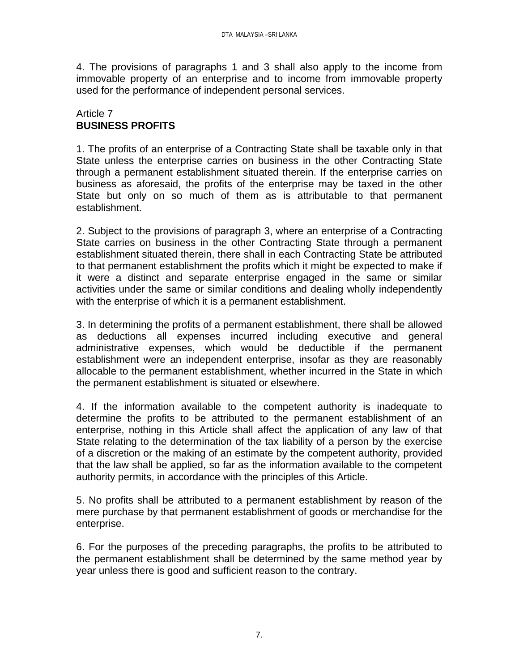4. The provisions of paragraphs 1 and 3 shall also apply to the income from immovable property of an enterprise and to income from immovable property used for the performance of independent personal services.

### Article 7 **BUSINESS PROFITS**

1. The profits of an enterprise of a Contracting State shall be taxable only in that State unless the enterprise carries on business in the other Contracting State through a permanent establishment situated therein. If the enterprise carries on business as aforesaid, the profits of the enterprise may be taxed in the other State but only on so much of them as is attributable to that permanent establishment.

2. Subject to the provisions of paragraph 3, where an enterprise of a Contracting State carries on business in the other Contracting State through a permanent establishment situated therein, there shall in each Contracting State be attributed to that permanent establishment the profits which it might be expected to make if it were a distinct and separate enterprise engaged in the same or similar activities under the same or similar conditions and dealing wholly independently with the enterprise of which it is a permanent establishment.

3. In determining the profits of a permanent establishment, there shall be allowed as deductions all expenses incurred including executive and general administrative expenses, which would be deductible if the permanent establishment were an independent enterprise, insofar as they are reasonably allocable to the permanent establishment, whether incurred in the State in which the permanent establishment is situated or elsewhere.

4. If the information available to the competent authority is inadequate to determine the profits to be attributed to the permanent establishment of an enterprise, nothing in this Article shall affect the application of any law of that State relating to the determination of the tax liability of a person by the exercise of a discretion or the making of an estimate by the competent authority, provided that the law shall be applied, so far as the information available to the competent authority permits, in accordance with the principles of this Article.

5. No profits shall be attributed to a permanent establishment by reason of the mere purchase by that permanent establishment of goods or merchandise for the enterprise.

6. For the purposes of the preceding paragraphs, the profits to be attributed to the permanent establishment shall be determined by the same method year by year unless there is good and sufficient reason to the contrary.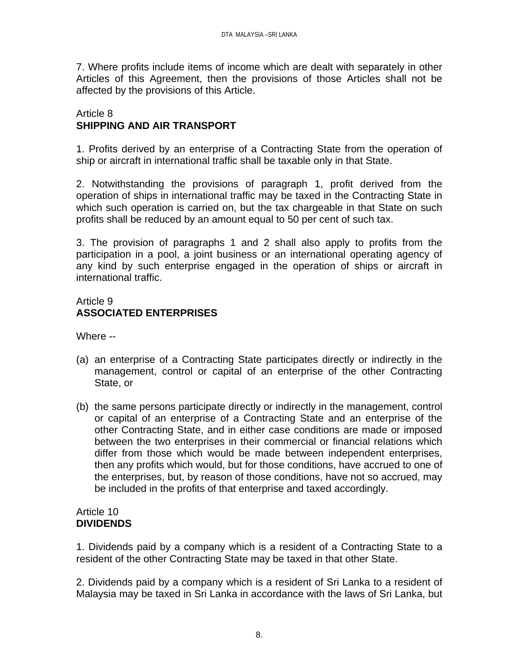7. Where profits include items of income which are dealt with separately in other Articles of this Agreement, then the provisions of those Articles shall not be affected by the provisions of this Article.

### Article 8 **SHIPPING AND AIR TRANSPORT**

1. Profits derived by an enterprise of a Contracting State from the operation of ship or aircraft in international traffic shall be taxable only in that State.

2. Notwithstanding the provisions of paragraph 1, profit derived from the operation of ships in international traffic may be taxed in the Contracting State in which such operation is carried on, but the tax chargeable in that State on such profits shall be reduced by an amount equal to 50 per cent of such tax.

3. The provision of paragraphs 1 and 2 shall also apply to profits from the participation in a pool, a joint business or an international operating agency of any kind by such enterprise engaged in the operation of ships or aircraft in international traffic.

### Article 9 **ASSOCIATED ENTERPRISES**

Where --

- (a) an enterprise of a Contracting State participates directly or indirectly in the management, control or capital of an enterprise of the other Contracting State, or
- (b) the same persons participate directly or indirectly in the management, control or capital of an enterprise of a Contracting State and an enterprise of the other Contracting State, and in either case conditions are made or imposed between the two enterprises in their commercial or financial relations which differ from those which would be made between independent enterprises, then any profits which would, but for those conditions, have accrued to one of the enterprises, but, by reason of those conditions, have not so accrued, may be included in the profits of that enterprise and taxed accordingly.

#### Article 10 **DIVIDENDS**

1. Dividends paid by a company which is a resident of a Contracting State to a resident of the other Contracting State may be taxed in that other State.

2. Dividends paid by a company which is a resident of Sri Lanka to a resident of Malaysia may be taxed in Sri Lanka in accordance with the laws of Sri Lanka, but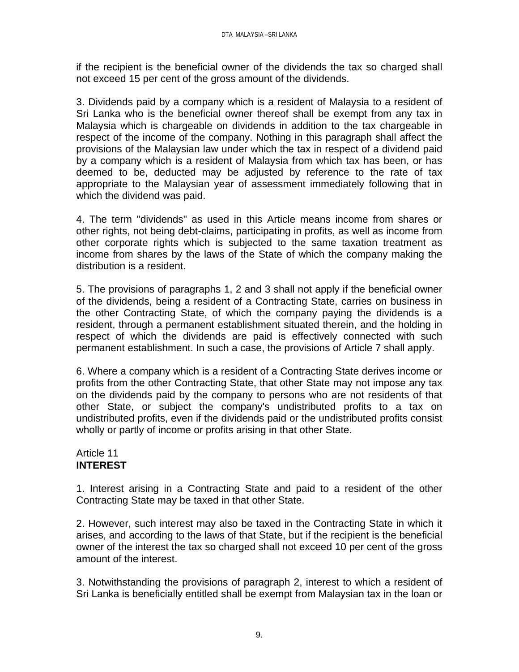if the recipient is the beneficial owner of the dividends the tax so charged shall not exceed 15 per cent of the gross amount of the dividends.

3. Dividends paid by a company which is a resident of Malaysia to a resident of Sri Lanka who is the beneficial owner thereof shall be exempt from any tax in Malaysia which is chargeable on dividends in addition to the tax chargeable in respect of the income of the company. Nothing in this paragraph shall affect the provisions of the Malaysian law under which the tax in respect of a dividend paid by a company which is a resident of Malaysia from which tax has been, or has deemed to be, deducted may be adjusted by reference to the rate of tax appropriate to the Malaysian year of assessment immediately following that in which the dividend was paid.

4. The term "dividends" as used in this Article means income from shares or other rights, not being debt-claims, participating in profits, as well as income from other corporate rights which is subjected to the same taxation treatment as income from shares by the laws of the State of which the company making the distribution is a resident.

5. The provisions of paragraphs 1, 2 and 3 shall not apply if the beneficial owner of the dividends, being a resident of a Contracting State, carries on business in the other Contracting State, of which the company paying the dividends is a resident, through a permanent establishment situated therein, and the holding in respect of which the dividends are paid is effectively connected with such permanent establishment. In such a case, the provisions of Article 7 shall apply.

6. Where a company which is a resident of a Contracting State derives income or profits from the other Contracting State, that other State may not impose any tax on the dividends paid by the company to persons who are not residents of that other State, or subject the company's undistributed profits to a tax on undistributed profits, even if the dividends paid or the undistributed profits consist wholly or partly of income or profits arising in that other State.

#### Article 11 **INTEREST**

1. Interest arising in a Contracting State and paid to a resident of the other Contracting State may be taxed in that other State.

2. However, such interest may also be taxed in the Contracting State in which it arises, and according to the laws of that State, but if the recipient is the beneficial owner of the interest the tax so charged shall not exceed 10 per cent of the gross amount of the interest.

3. Notwithstanding the provisions of paragraph 2, interest to which a resident of Sri Lanka is beneficially entitled shall be exempt from Malaysian tax in the loan or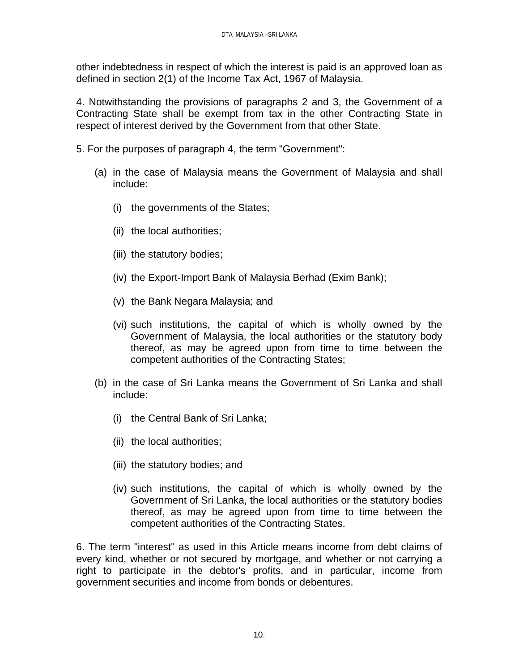other indebtedness in respect of which the interest is paid is an approved loan as defined in section 2(1) of the Income Tax Act, 1967 of Malaysia.

4. Notwithstanding the provisions of paragraphs 2 and 3, the Government of a Contracting State shall be exempt from tax in the other Contracting State in respect of interest derived by the Government from that other State.

- 5. For the purposes of paragraph 4, the term "Government":
	- (a) in the case of Malaysia means the Government of Malaysia and shall include:
		- (i) the governments of the States;
		- (ii) the local authorities;
		- (iii) the statutory bodies;
		- (iv) the Export-Import Bank of Malaysia Berhad (Exim Bank);
		- (v) the Bank Negara Malaysia; and
		- (vi) such institutions, the capital of which is wholly owned by the Government of Malaysia, the local authorities or the statutory body thereof, as may be agreed upon from time to time between the competent authorities of the Contracting States;
	- (b) in the case of Sri Lanka means the Government of Sri Lanka and shall include:
		- (i) the Central Bank of Sri Lanka;
		- (ii) the local authorities;
		- (iii) the statutory bodies; and
		- (iv) such institutions, the capital of which is wholly owned by the Government of Sri Lanka, the local authorities or the statutory bodies thereof, as may be agreed upon from time to time between the competent authorities of the Contracting States.

6. The term "interest" as used in this Article means income from debt claims of every kind, whether or not secured by mortgage, and whether or not carrying a right to participate in the debtor's profits, and in particular, income from government securities and income from bonds or debentures.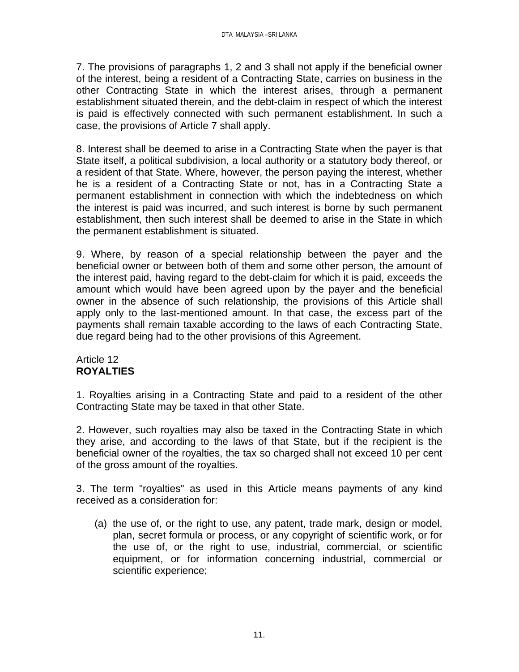7. The provisions of paragraphs 1, 2 and 3 shall not apply if the beneficial owner of the interest, being a resident of a Contracting State, carries on business in the other Contracting State in which the interest arises, through a permanent establishment situated therein, and the debt-claim in respect of which the interest is paid is effectively connected with such permanent establishment. In such a case, the provisions of Article 7 shall apply.

8. Interest shall be deemed to arise in a Contracting State when the payer is that State itself, a political subdivision, a local authority or a statutory body thereof, or a resident of that State. Where, however, the person paying the interest, whether he is a resident of a Contracting State or not, has in a Contracting State a permanent establishment in connection with which the indebtedness on which the interest is paid was incurred, and such interest is borne by such permanent establishment, then such interest shall be deemed to arise in the State in which the permanent establishment is situated.

9. Where, by reason of a special relationship between the payer and the beneficial owner or between both of them and some other person, the amount of the interest paid, having regard to the debt-claim for which it is paid, exceeds the amount which would have been agreed upon by the payer and the beneficial owner in the absence of such relationship, the provisions of this Article shall apply only to the last-mentioned amount. In that case, the excess part of the payments shall remain taxable according to the laws of each Contracting State, due regard being had to the other provisions of this Agreement.

### Article 12 **ROYALTIES**

1. Royalties arising in a Contracting State and paid to a resident of the other Contracting State may be taxed in that other State.

2. However, such royalties may also be taxed in the Contracting State in which they arise, and according to the laws of that State, but if the recipient is the beneficial owner of the royalties, the tax so charged shall not exceed 10 per cent of the gross amount of the royalties.

3. The term "royalties" as used in this Article means payments of any kind received as a consideration for:

(a) the use of, or the right to use, any patent, trade mark, design or model, plan, secret formula or process, or any copyright of scientific work, or for the use of, or the right to use, industrial, commercial, or scientific equipment, or for information concerning industrial, commercial or scientific experience;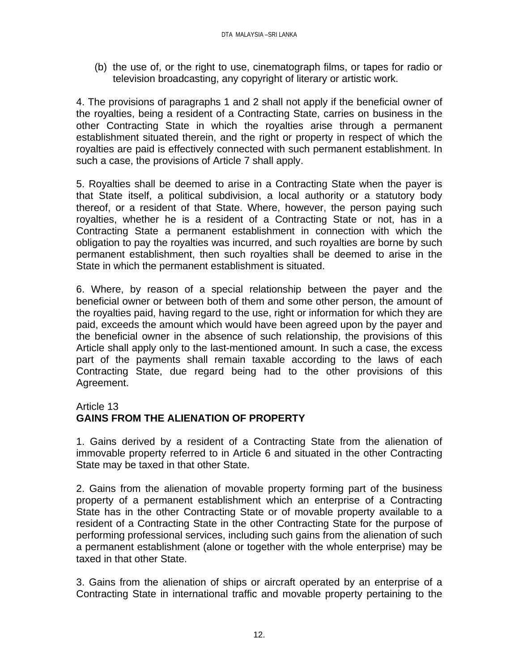(b) the use of, or the right to use, cinematograph films, or tapes for radio or television broadcasting, any copyright of literary or artistic work.

4. The provisions of paragraphs 1 and 2 shall not apply if the beneficial owner of the royalties, being a resident of a Contracting State, carries on business in the other Contracting State in which the royalties arise through a permanent establishment situated therein, and the right or property in respect of which the royalties are paid is effectively connected with such permanent establishment. In such a case, the provisions of Article 7 shall apply.

5. Royalties shall be deemed to arise in a Contracting State when the payer is that State itself, a political subdivision, a local authority or a statutory body thereof, or a resident of that State. Where, however, the person paying such royalties, whether he is a resident of a Contracting State or not, has in a Contracting State a permanent establishment in connection with which the obligation to pay the royalties was incurred, and such royalties are borne by such permanent establishment, then such royalties shall be deemed to arise in the State in which the permanent establishment is situated.

6. Where, by reason of a special relationship between the payer and the beneficial owner or between both of them and some other person, the amount of the royalties paid, having regard to the use, right or information for which they are paid, exceeds the amount which would have been agreed upon by the payer and the beneficial owner in the absence of such relationship, the provisions of this Article shall apply only to the last-mentioned amount. In such a case, the excess part of the payments shall remain taxable according to the laws of each Contracting State, due regard being had to the other provisions of this Agreement.

#### Article 13

## **GAINS FROM THE ALIENATION OF PROPERTY**

1. Gains derived by a resident of a Contracting State from the alienation of immovable property referred to in Article 6 and situated in the other Contracting State may be taxed in that other State.

2. Gains from the alienation of movable property forming part of the business property of a permanent establishment which an enterprise of a Contracting State has in the other Contracting State or of movable property available to a resident of a Contracting State in the other Contracting State for the purpose of performing professional services, including such gains from the alienation of such a permanent establishment (alone or together with the whole enterprise) may be taxed in that other State.

3. Gains from the alienation of ships or aircraft operated by an enterprise of a Contracting State in international traffic and movable property pertaining to the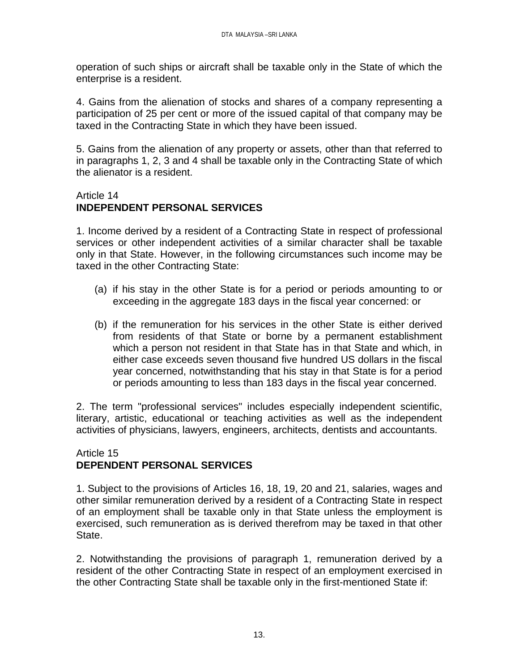operation of such ships or aircraft shall be taxable only in the State of which the enterprise is a resident.

4. Gains from the alienation of stocks and shares of a company representing a participation of 25 per cent or more of the issued capital of that company may be taxed in the Contracting State in which they have been issued.

5. Gains from the alienation of any property or assets, other than that referred to in paragraphs 1, 2, 3 and 4 shall be taxable only in the Contracting State of which the alienator is a resident.

#### Article 14 **INDEPENDENT PERSONAL SERVICES**

1. Income derived by a resident of a Contracting State in respect of professional services or other independent activities of a similar character shall be taxable only in that State. However, in the following circumstances such income may be taxed in the other Contracting State:

- (a) if his stay in the other State is for a period or periods amounting to or exceeding in the aggregate 183 days in the fiscal year concerned: or
- (b) if the remuneration for his services in the other State is either derived from residents of that State or borne by a permanent establishment which a person not resident in that State has in that State and which, in either case exceeds seven thousand five hundred US dollars in the fiscal year concerned, notwithstanding that his stay in that State is for a period or periods amounting to less than 183 days in the fiscal year concerned.

2. The term "professional services" includes especially independent scientific, literary, artistic, educational or teaching activities as well as the independent activities of physicians, lawyers, engineers, architects, dentists and accountants.

### Article 15 **DEPENDENT PERSONAL SERVICES**

1. Subject to the provisions of Articles 16, 18, 19, 20 and 21, salaries, wages and other similar remuneration derived by a resident of a Contracting State in respect of an employment shall be taxable only in that State unless the employment is exercised, such remuneration as is derived therefrom may be taxed in that other State.

2. Notwithstanding the provisions of paragraph 1, remuneration derived by a resident of the other Contracting State in respect of an employment exercised in the other Contracting State shall be taxable only in the first-mentioned State if: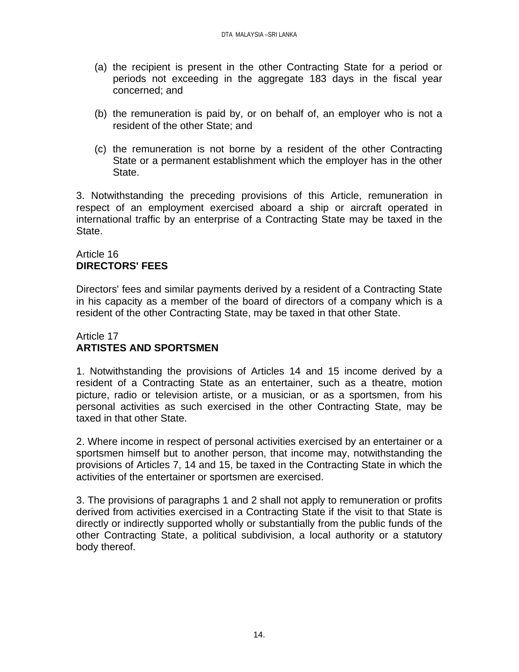- (a) the recipient is present in the other Contracting State for a period or periods not exceeding in the aggregate 183 days in the fiscal year concerned; and
- (b) the remuneration is paid by, or on behalf of, an employer who is not a resident of the other State; and
- (c) the remuneration is not borne by a resident of the other Contracting State or a permanent establishment which the employer has in the other State.

3. Notwithstanding the preceding provisions of this Article, remuneration in respect of an employment exercised aboard a ship or aircraft operated in international traffic by an enterprise of a Contracting State may be taxed in the State.

#### Article 16 **DIRECTORS' FEES**

Directors' fees and similar payments derived by a resident of a Contracting State in his capacity as a member of the board of directors of a company which is a resident of the other Contracting State, may be taxed in that other State.

### Article 17 **ARTISTES AND SPORTSMEN**

1. Notwithstanding the provisions of Articles 14 and 15 income derived by a resident of a Contracting State as an entertainer, such as a theatre, motion picture, radio or television artiste, or a musician, or as a sportsmen, from his personal activities as such exercised in the other Contracting State, may be taxed in that other State.

2. Where income in respect of personal activities exercised by an entertainer or a sportsmen himself but to another person, that income may, notwithstanding the provisions of Articles 7, 14 and 15, be taxed in the Contracting State in which the activities of the entertainer or sportsmen are exercised.

3. The provisions of paragraphs 1 and 2 shall not apply to remuneration or profits derived from activities exercised in a Contracting State if the visit to that State is directly or indirectly supported wholly or substantially from the public funds of the other Contracting State, a political subdivision, a local authority or a statutory body thereof.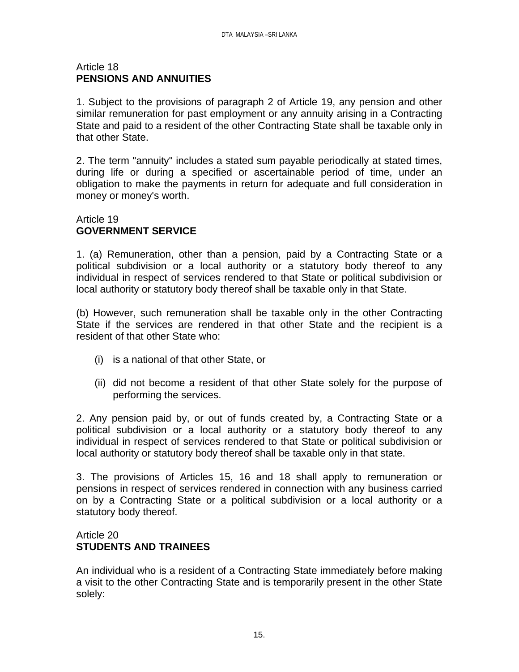#### Article 18 **PENSIONS AND ANNUITIES**

1. Subject to the provisions of paragraph 2 of Article 19, any pension and other similar remuneration for past employment or any annuity arising in a Contracting State and paid to a resident of the other Contracting State shall be taxable only in that other State.

2. The term "annuity" includes a stated sum payable periodically at stated times, during life or during a specified or ascertainable period of time, under an obligation to make the payments in return for adequate and full consideration in money or money's worth.

### Article 19 **GOVERNMENT SERVICE**

1. (a) Remuneration, other than a pension, paid by a Contracting State or a political subdivision or a local authority or a statutory body thereof to any individual in respect of services rendered to that State or political subdivision or local authority or statutory body thereof shall be taxable only in that State.

(b) However, such remuneration shall be taxable only in the other Contracting State if the services are rendered in that other State and the recipient is a resident of that other State who:

- (i) is a national of that other State, or
- (ii) did not become a resident of that other State solely for the purpose of performing the services.

2. Any pension paid by, or out of funds created by, a Contracting State or a political subdivision or a local authority or a statutory body thereof to any individual in respect of services rendered to that State or political subdivision or local authority or statutory body thereof shall be taxable only in that state.

3. The provisions of Articles 15, 16 and 18 shall apply to remuneration or pensions in respect of services rendered in connection with any business carried on by a Contracting State or a political subdivision or a local authority or a statutory body thereof.

#### Article 20 **STUDENTS AND TRAINEES**

An individual who is a resident of a Contracting State immediately before making a visit to the other Contracting State and is temporarily present in the other State solely: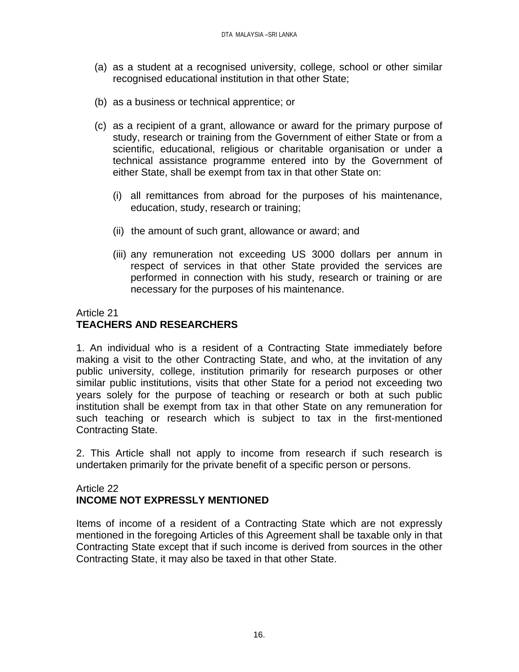- (a) as a student at a recognised university, college, school or other similar recognised educational institution in that other State;
- (b) as a business or technical apprentice; or
- (c) as a recipient of a grant, allowance or award for the primary purpose of study, research or training from the Government of either State or from a scientific, educational, religious or charitable organisation or under a technical assistance programme entered into by the Government of either State, shall be exempt from tax in that other State on:
	- (i) all remittances from abroad for the purposes of his maintenance, education, study, research or training;
	- (ii) the amount of such grant, allowance or award; and
	- (iii) any remuneration not exceeding US 3000 dollars per annum in respect of services in that other State provided the services are performed in connection with his study, research or training or are necessary for the purposes of his maintenance.

### Article 21 **TEACHERS AND RESEARCHERS**

1. An individual who is a resident of a Contracting State immediately before making a visit to the other Contracting State, and who, at the invitation of any public university, college, institution primarily for research purposes or other similar public institutions, visits that other State for a period not exceeding two years solely for the purpose of teaching or research or both at such public institution shall be exempt from tax in that other State on any remuneration for such teaching or research which is subject to tax in the first-mentioned Contracting State.

2. This Article shall not apply to income from research if such research is undertaken primarily for the private benefit of a specific person or persons.

### Article 22 **INCOME NOT EXPRESSLY MENTIONED**

Items of income of a resident of a Contracting State which are not expressly mentioned in the foregoing Articles of this Agreement shall be taxable only in that Contracting State except that if such income is derived from sources in the other Contracting State, it may also be taxed in that other State.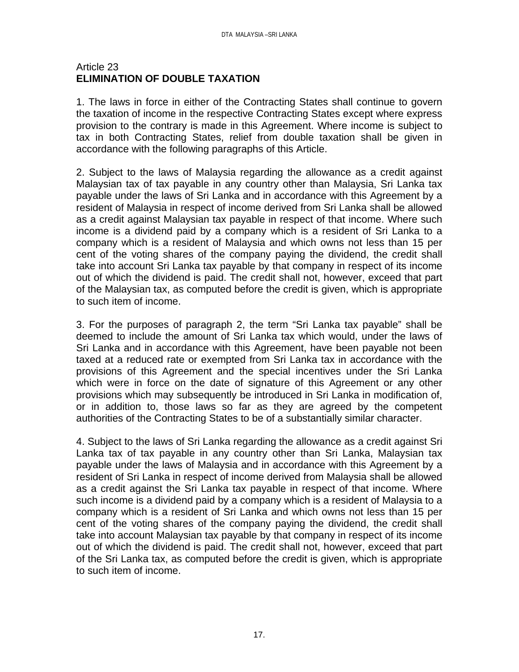#### Article 23 **ELIMINATION OF DOUBLE TAXATION**

1. The laws in force in either of the Contracting States shall continue to govern the taxation of income in the respective Contracting States except where express provision to the contrary is made in this Agreement. Where income is subject to tax in both Contracting States, relief from double taxation shall be given in accordance with the following paragraphs of this Article.

2. Subject to the laws of Malaysia regarding the allowance as a credit against Malaysian tax of tax payable in any country other than Malaysia, Sri Lanka tax payable under the laws of Sri Lanka and in accordance with this Agreement by a resident of Malaysia in respect of income derived from Sri Lanka shall be allowed as a credit against Malaysian tax payable in respect of that income. Where such income is a dividend paid by a company which is a resident of Sri Lanka to a company which is a resident of Malaysia and which owns not less than 15 per cent of the voting shares of the company paying the dividend, the credit shall take into account Sri Lanka tax payable by that company in respect of its income out of which the dividend is paid. The credit shall not, however, exceed that part of the Malaysian tax, as computed before the credit is given, which is appropriate to such item of income.

3. For the purposes of paragraph 2, the term "Sri Lanka tax payable" shall be deemed to include the amount of Sri Lanka tax which would, under the laws of Sri Lanka and in accordance with this Agreement, have been payable not been taxed at a reduced rate or exempted from Sri Lanka tax in accordance with the provisions of this Agreement and the special incentives under the Sri Lanka which were in force on the date of signature of this Agreement or any other provisions which may subsequently be introduced in Sri Lanka in modification of, or in addition to, those laws so far as they are agreed by the competent authorities of the Contracting States to be of a substantially similar character.

4. Subject to the laws of Sri Lanka regarding the allowance as a credit against Sri Lanka tax of tax payable in any country other than Sri Lanka, Malaysian tax payable under the laws of Malaysia and in accordance with this Agreement by a resident of Sri Lanka in respect of income derived from Malaysia shall be allowed as a credit against the Sri Lanka tax payable in respect of that income. Where such income is a dividend paid by a company which is a resident of Malaysia to a company which is a resident of Sri Lanka and which owns not less than 15 per cent of the voting shares of the company paying the dividend, the credit shall take into account Malaysian tax payable by that company in respect of its income out of which the dividend is paid. The credit shall not, however, exceed that part of the Sri Lanka tax, as computed before the credit is given, which is appropriate to such item of income.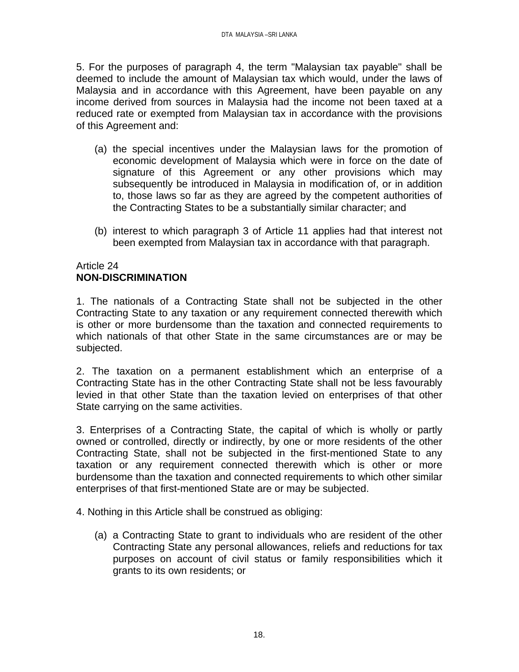5. For the purposes of paragraph 4, the term "Malaysian tax payable" shall be deemed to include the amount of Malaysian tax which would, under the laws of Malaysia and in accordance with this Agreement, have been payable on any income derived from sources in Malaysia had the income not been taxed at a reduced rate or exempted from Malaysian tax in accordance with the provisions of this Agreement and:

- (a) the special incentives under the Malaysian laws for the promotion of economic development of Malaysia which were in force on the date of signature of this Agreement or any other provisions which may subsequently be introduced in Malaysia in modification of, or in addition to, those laws so far as they are agreed by the competent authorities of the Contracting States to be a substantially similar character; and
- (b) interest to which paragraph 3 of Article 11 applies had that interest not been exempted from Malaysian tax in accordance with that paragraph.

### Article 24 **NON-DISCRIMINATION**

1. The nationals of a Contracting State shall not be subjected in the other Contracting State to any taxation or any requirement connected therewith which is other or more burdensome than the taxation and connected requirements to which nationals of that other State in the same circumstances are or may be subjected.

2. The taxation on a permanent establishment which an enterprise of a Contracting State has in the other Contracting State shall not be less favourably levied in that other State than the taxation levied on enterprises of that other State carrying on the same activities.

3. Enterprises of a Contracting State, the capital of which is wholly or partly owned or controlled, directly or indirectly, by one or more residents of the other Contracting State, shall not be subjected in the first-mentioned State to any taxation or any requirement connected therewith which is other or more burdensome than the taxation and connected requirements to which other similar enterprises of that first-mentioned State are or may be subjected.

4. Nothing in this Article shall be construed as obliging:

(a) a Contracting State to grant to individuals who are resident of the other Contracting State any personal allowances, reliefs and reductions for tax purposes on account of civil status or family responsibilities which it grants to its own residents; or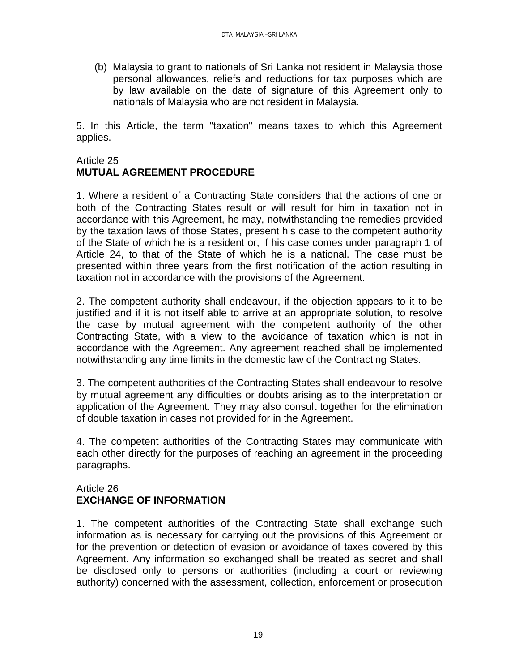(b) Malaysia to grant to nationals of Sri Lanka not resident in Malaysia those personal allowances, reliefs and reductions for tax purposes which are by law available on the date of signature of this Agreement only to nationals of Malaysia who are not resident in Malaysia.

5. In this Article, the term "taxation" means taxes to which this Agreement applies.

## Article 25 **MUTUAL AGREEMENT PROCEDURE**

1. Where a resident of a Contracting State considers that the actions of one or both of the Contracting States result or will result for him in taxation not in accordance with this Agreement, he may, notwithstanding the remedies provided by the taxation laws of those States, present his case to the competent authority of the State of which he is a resident or, if his case comes under paragraph 1 of Article 24, to that of the State of which he is a national. The case must be presented within three years from the first notification of the action resulting in taxation not in accordance with the provisions of the Agreement.

2. The competent authority shall endeavour, if the objection appears to it to be justified and if it is not itself able to arrive at an appropriate solution, to resolve the case by mutual agreement with the competent authority of the other Contracting State, with a view to the avoidance of taxation which is not in accordance with the Agreement. Any agreement reached shall be implemented notwithstanding any time limits in the domestic law of the Contracting States.

3. The competent authorities of the Contracting States shall endeavour to resolve by mutual agreement any difficulties or doubts arising as to the interpretation or application of the Agreement. They may also consult together for the elimination of double taxation in cases not provided for in the Agreement.

4. The competent authorities of the Contracting States may communicate with each other directly for the purposes of reaching an agreement in the proceeding paragraphs.

## Article 26 **EXCHANGE OF INFORMATION**

1. The competent authorities of the Contracting State shall exchange such information as is necessary for carrying out the provisions of this Agreement or for the prevention or detection of evasion or avoidance of taxes covered by this Agreement. Any information so exchanged shall be treated as secret and shall be disclosed only to persons or authorities (including a court or reviewing authority) concerned with the assessment, collection, enforcement or prosecution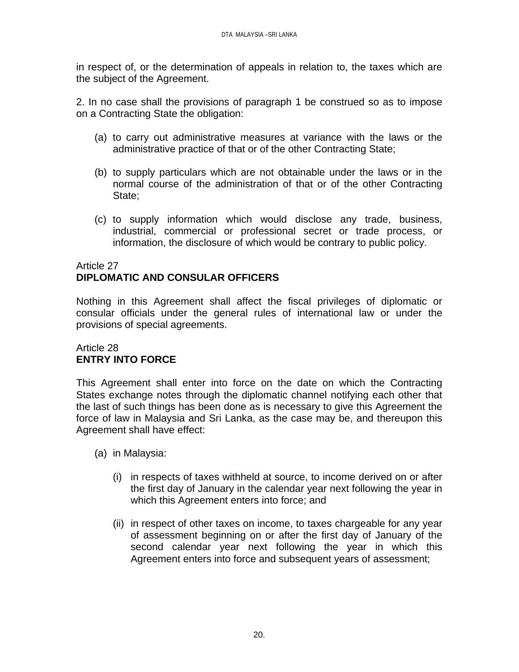in respect of, or the determination of appeals in relation to, the taxes which are the subject of the Agreement.

2. In no case shall the provisions of paragraph 1 be construed so as to impose on a Contracting State the obligation:

- (a) to carry out administrative measures at variance with the laws or the administrative practice of that or of the other Contracting State;
- (b) to supply particulars which are not obtainable under the laws or in the normal course of the administration of that or of the other Contracting State;
- (c) to supply information which would disclose any trade, business, industrial, commercial or professional secret or trade process, or information, the disclosure of which would be contrary to public policy.

### Article 27

# **DIPLOMATIC AND CONSULAR OFFICERS**

Nothing in this Agreement shall affect the fiscal privileges of diplomatic or consular officials under the general rules of international law or under the provisions of special agreements.

#### Article 28 **ENTRY INTO FORCE**

This Agreement shall enter into force on the date on which the Contracting States exchange notes through the diplomatic channel notifying each other that the last of such things has been done as is necessary to give this Agreement the force of law in Malaysia and Sri Lanka, as the case may be, and thereupon this Agreement shall have effect:

- (a) in Malaysia:
	- (i) in respects of taxes withheld at source, to income derived on or after the first day of January in the calendar year next following the year in which this Agreement enters into force; and
	- (ii) in respect of other taxes on income, to taxes chargeable for any year of assessment beginning on or after the first day of January of the second calendar year next following the year in which this Agreement enters into force and subsequent years of assessment;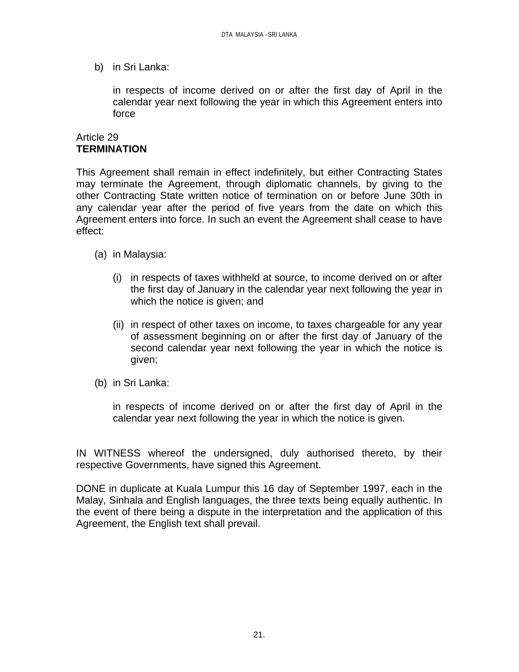b) in Sri Lanka:

in respects of income derived on or after the first day of April in the calendar year next following the year in which this Agreement enters into force

## Article 29 **TERMINATION**

This Agreement shall remain in effect indefinitely, but either Contracting States may terminate the Agreement, through diplomatic channels, by giving to the other Contracting State written notice of termination on or before June 30th in any calendar year after the period of five years from the date on which this Agreement enters into force. In such an event the Agreement shall cease to have effect:

- (a) in Malaysia:
	- (i) in respects of taxes withheld at source, to income derived on or after the first day of January in the calendar year next following the year in which the notice is given; and
	- (ii) in respect of other taxes on income, to taxes chargeable for any year of assessment beginning on or after the first day of January of the second calendar year next following the year in which the notice is given;
- (b) in Sri Lanka:

in respects of income derived on or after the first day of April in the calendar year next following the year in which the notice is given.

IN WITNESS whereof the undersigned, duly authorised thereto, by their respective Governments, have signed this Agreement.

DONE in duplicate at Kuala Lumpur this 16 day of September 1997, each in the Malay, Sinhala and English languages, the three texts being equally authentic. In the event of there being a dispute in the interpretation and the application of this Agreement, the English text shall prevail.